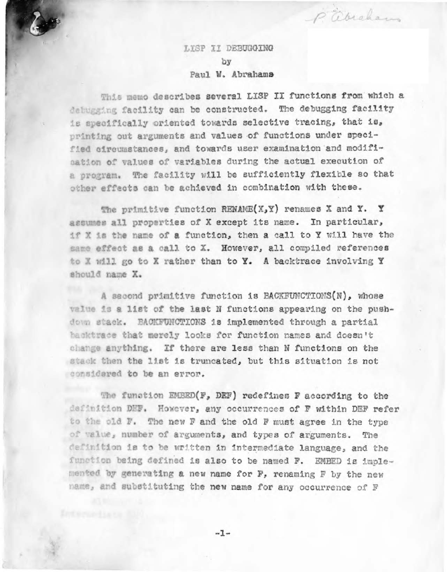LISP II DEBUGGING by Paul W. Abrahams P abraham

This memo describes several LISP II functions from which a delugging facility can be constructed. The debugging facility is specifically oriented towards selective tracing, that is, printing out arguments and values of functions under specified circumstances, and towards user examination and modification of values of variables during the actual execution of a program. The facility will be sufficiently flexible so that other effects can be achieved in combination with these.

The primitive function RENAME(X, Y) renames X and Y. Y assumes all properties of X except its name. In particular, if X is the name of a function, then a call to Y will have the same effect as a call to X. However, all compiled references to X will go to X rather than to Y. A backtrace involving Y should name X.

A second primitive function is BACKFUNCTIONS(N), whose value is a list of the last N functions appearing on the pushdown stack. BACKFUNCTIONS is implemented through a partial hacktrace that merely looks for function names and doesn't change anything. If there are less than N functions on the stack then the list is truncated, but this situation is not considered to be an error.

The function EMBED(F, DEF) redefines F according to the definition DEF. However, any occurrences of F within DEF refer to the old F. The new F and the old F must agree in the type of value, number of arguments, and types of arguments. The definition is to be written in intermediate language, and the function being defined is also to be named F. EMBED is implemented by generating a new name for F, renaming F by the new name, and substituting the new name for any occurrence of F

 $-1-$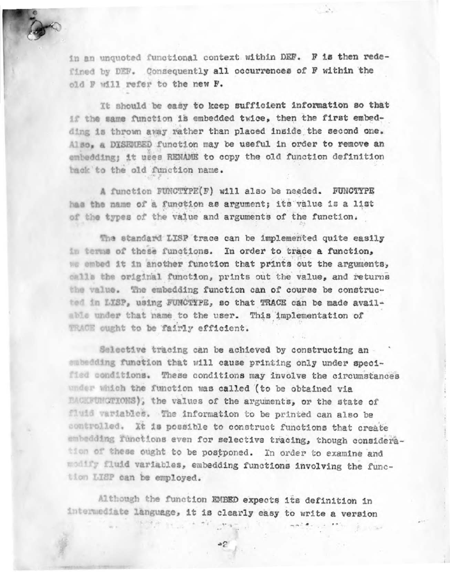

in an unquoted functional context within DEF. F is then redefined by DEF. Consequently all occurrences of F within the old F will refer to the new F.

It should be easy to keep sufficient information so that if the same function is embedded twice, then the first embedding is thrown away rather than placed inside the second one. Also, a DISEMBED function may be useful in order to remove an embedding; it uses RENAME to copy the old function definition back to the old function name.

A function FUNCTYPE(F) will also be needed. FUNCTYPE has the name of a function as argument; its value is a list of the types of the value and arguments of the function.

The standard LISP trace can be implemented quite easily in terms of these functions. In order to trace a function, we embed it in another function that prints out the arguments, calls the original function, prints out the value, and returns the value. The embedding function can of course be constructed in LISP, using FUNCTIPE, so that TRACE can be made available under that name to the user. This implementation of TRACE ought to be fairly efficient.

Selective tracing can be achieved by constructing an embedding function that will cause printing only under specified conditions. These conditions may involve the circumstances under which the function was called (to be obtained via **EACHEUMOTIONS**), the values of the arguments, or the state of fluid variables. The information to be printed can also be controlled. It is possible to construct functions that create embedding functions even for selective tracing, though consideration of these ought to be postponed. In order to examine and modify fluid variables, embedding functions involving the function LISP can be employed.

Although the function EMBED expects its definition in intermediate language, it is clearly easy to write a version